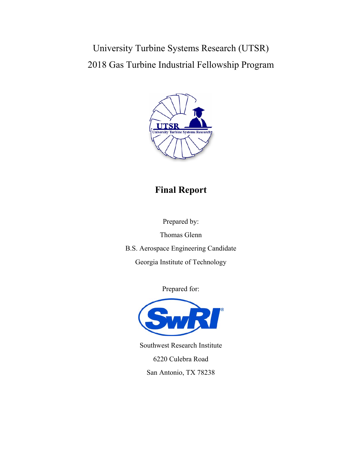University Turbine Systems Research (UTSR) 2018 Gas Turbine Industrial Fellowship Program



# **Final Report**

Prepared by:

Thomas Glenn

B.S. Aerospace Engineering Candidate

Georgia Institute of Technology

Prepared for:



Southwest Research Institute 6220 Culebra Road San Antonio, TX 78238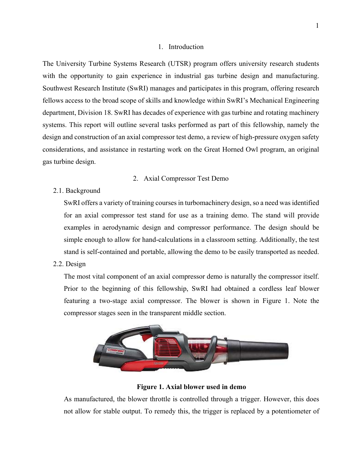#### 1. Introduction

The University Turbine Systems Research (UTSR) program offers university research students with the opportunity to gain experience in industrial gas turbine design and manufacturing. Southwest Research Institute (SwRI) manages and participates in this program, offering research fellows access to the broad scope of skills and knowledge within SwRI's Mechanical Engineering department, Division 18. SwRI has decades of experience with gas turbine and rotating machinery systems. This report will outline several tasks performed as part of this fellowship, namely the design and construction of an axial compressor test demo, a review of high-pressure oxygen safety considerations, and assistance in restarting work on the Great Horned Owl program, an original gas turbine design.

#### 2. Axial Compressor Test Demo

2.1. Background

SwRI offers a variety of training courses in turbomachinery design, so a need was identified for an axial compressor test stand for use as a training demo. The stand will provide examples in aerodynamic design and compressor performance. The design should be simple enough to allow for hand-calculations in a classroom setting. Additionally, the test stand is self-contained and portable, allowing the demo to be easily transported as needed.

2.2. Design

The most vital component of an axial compressor demo is naturally the compressor itself. Prior to the beginning of this fellowship, SwRI had obtained a cordless leaf blower featuring a two-stage axial compressor. The blower is shown in Figure 1. Note the compressor stages seen in the transparent middle section.



**Figure 1. Axial blower used in demo** 

As manufactured, the blower throttle is controlled through a trigger. However, this does not allow for stable output. To remedy this, the trigger is replaced by a potentiometer of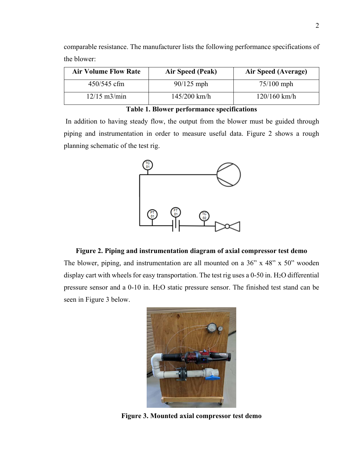| <b>Air Volume Flow Rate</b> | Air Speed (Peak) | Air Speed (Average) |
|-----------------------------|------------------|---------------------|
| 450/545 cfm                 | $90/125$ mph     | $75/100$ mph        |
| $12/15$ m $3/m$ in          | $145/200$ km/h   | $120/160$ km/h      |

comparable resistance. The manufacturer lists the following performance specifications of the blower:

**Table 1. Blower performance specifications**

 In addition to having steady flow, the output from the blower must be guided through piping and instrumentation in order to measure useful data. Figure 2 shows a rough planning schematic of the test rig.



## **Figure 2. Piping and instrumentation diagram of axial compressor test demo**

The blower, piping, and instrumentation are all mounted on a 36" x 48" x 50" wooden display cart with wheels for easy transportation. The test rig uses a 0-50 in. H<sub>2</sub>O differential pressure sensor and a 0-10 in. H2O static pressure sensor. The finished test stand can be seen in Figure 3 below.



**Figure 3. Mounted axial compressor test demo**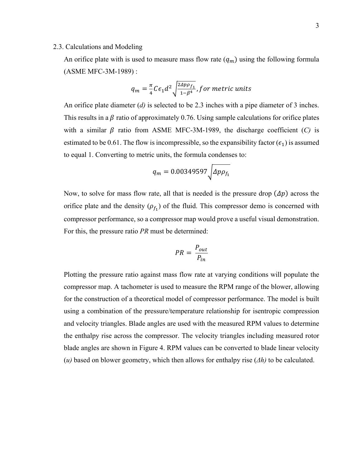#### 2.3. Calculations and Modeling

An orifice plate with is used to measure mass flow rate  $(q_m)$  using the following formula (ASME MFC-3M-1989) :

$$
q_m = \frac{\pi}{4} C \epsilon_1 d^2 \sqrt{\frac{2 \Delta p \rho_{f_1}}{1 - \beta^4}}, for metric units
$$

An orifice plate diameter (*d)* is selected to be 2.3 inches with a pipe diameter of 3 inches. This results in a  $\beta$  ratio of approximately 0.76. Using sample calculations for orifice plates with a similar  $\beta$  ratio from ASME MFC-3M-1989, the discharge coefficient (*C*) is estimated to be 0.61. The flow is incompressible, so the expansibility factor ( $\epsilon_1$ ) is assumed to equal 1. Converting to metric units, the formula condenses to:

$$
q_m = 0.00349597 \sqrt{\Delta p \rho_{f_1}}
$$

Now, to solve for mass flow rate, all that is needed is the pressure drop  $(\Delta p)$  across the orifice plate and the density  $(\rho_f)$  of the fluid. This compressor demo is concerned with compressor performance, so a compressor map would prove a useful visual demonstration. For this, the pressure ratio *PR* must be determined:

$$
PR = \frac{P_{out}}{P_{in}}
$$

Plotting the pressure ratio against mass flow rate at varying conditions will populate the compressor map. A tachometer is used to measure the RPM range of the blower, allowing for the construction of a theoretical model of compressor performance. The model is built using a combination of the pressure/temperature relationship for isentropic compression and velocity triangles. Blade angles are used with the measured RPM values to determine the enthalpy rise across the compressor. The velocity triangles including measured rotor blade angles are shown in Figure 4. RPM values can be converted to blade linear velocity (*u)* based on blower geometry, which then allows for enthalpy rise (*Δh)* to be calculated.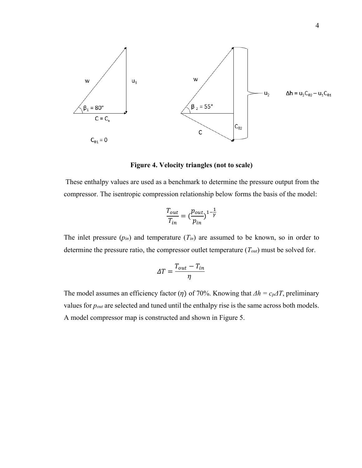

**Figure 4. Velocity triangles (not to scale)** 

 These enthalpy values are used as a benchmark to determine the pressure output from the compressor. The isentropic compression relationship below forms the basis of the model:

$$
\frac{T_{out}}{T_{in}} = \left(\frac{p_{out}}{p_{in}}\right)^{1-\frac{1}{\gamma}}
$$

The inlet pressure  $(p_{in})$  and temperature  $(T_{in})$  are assumed to be known, so in order to determine the pressure ratio, the compressor outlet temperature (*Tout*) must be solved for.

$$
\Delta T = \frac{T_{out} - T_{in}}{\eta}
$$

The model assumes an efficiency factor ( $\eta$ ) of 70%. Knowing that  $\Delta h = c_p \Delta T$ , preliminary values for *pout* are selected and tuned until the enthalpy rise is the same across both models. A model compressor map is constructed and shown in Figure 5.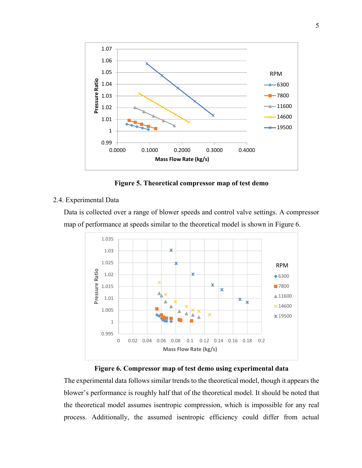

**Figure 5. Theoretical compressor map of test demo** 

#### 2.4. Experimental Data

Data is collected over a range of blower speeds and control valve settings. A compressor map of performance at speeds similar to the theoretical model is shown in Figure 6.



#### **Figure 6. Compressor map of test demo using experimental data**

The experimental data follows similar trends to the theoretical model, though it appears the blower's performance is roughly half that of the theoretical model. It should be noted that the theoretical model assumes isentropic compression, which is impossible for any real process. Additionally, the assumed isentropic efficiency could differ from actual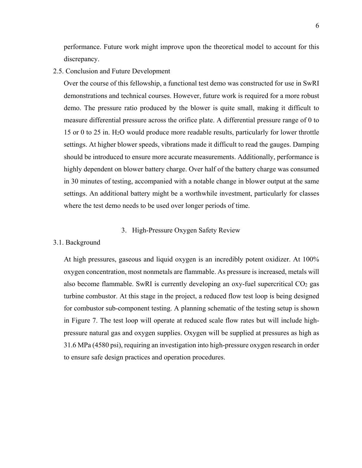performance. Future work might improve upon the theoretical model to account for this discrepancy.

2.5. Conclusion and Future Development

Over the course of this fellowship, a functional test demo was constructed for use in SwRI demonstrations and technical courses. However, future work is required for a more robust demo. The pressure ratio produced by the blower is quite small, making it difficult to measure differential pressure across the orifice plate. A differential pressure range of 0 to 15 or 0 to 25 in. H2O would produce more readable results, particularly for lower throttle settings. At higher blower speeds, vibrations made it difficult to read the gauges. Damping should be introduced to ensure more accurate measurements. Additionally, performance is highly dependent on blower battery charge. Over half of the battery charge was consumed in 30 minutes of testing, accompanied with a notable change in blower output at the same settings. An additional battery might be a worthwhile investment, particularly for classes where the test demo needs to be used over longer periods of time.

## 3. High-Pressure Oxygen Safety Review

3.1. Background

At high pressures, gaseous and liquid oxygen is an incredibly potent oxidizer. At 100% oxygen concentration, most nonmetals are flammable. As pressure is increased, metals will also become flammable. SwRI is currently developing an  $oxy$ -fuel supercritical  $CO<sub>2</sub>$  gas turbine combustor. At this stage in the project, a reduced flow test loop is being designed for combustor sub-component testing. A planning schematic of the testing setup is shown in Figure 7. The test loop will operate at reduced scale flow rates but will include highpressure natural gas and oxygen supplies. Oxygen will be supplied at pressures as high as 31.6 MPa (4580 psi), requiring an investigation into high-pressure oxygen research in order to ensure safe design practices and operation procedures.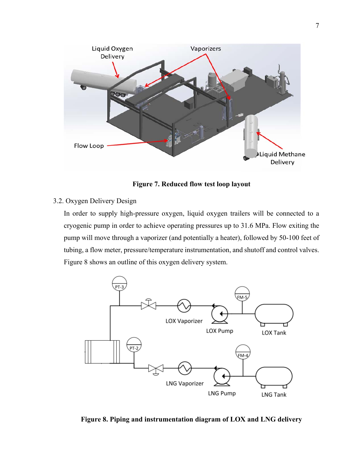

**Figure 7. Reduced flow test loop layout** 

3.2. Oxygen Delivery Design

In order to supply high-pressure oxygen, liquid oxygen trailers will be connected to a cryogenic pump in order to achieve operating pressures up to 31.6 MPa. Flow exiting the pump will move through a vaporizer (and potentially a heater), followed by 50-100 feet of tubing, a flow meter, pressure/temperature instrumentation, and shutoff and control valves. Figure 8 shows an outline of this oxygen delivery system.



**Figure 8. Piping and instrumentation diagram of LOX and LNG delivery**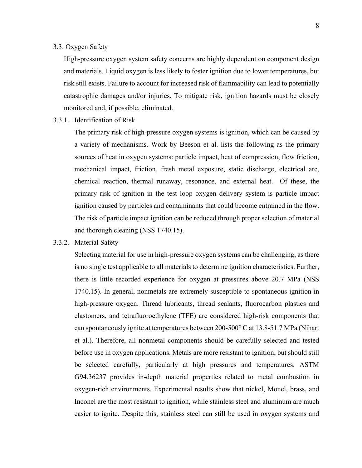## 3.3. Oxygen Safety

High-pressure oxygen system safety concerns are highly dependent on component design and materials. Liquid oxygen is less likely to foster ignition due to lower temperatures, but risk still exists. Failure to account for increased risk of flammability can lead to potentially catastrophic damages and/or injuries. To mitigate risk, ignition hazards must be closely monitored and, if possible, eliminated.

3.3.1. Identification of Risk

The primary risk of high-pressure oxygen systems is ignition, which can be caused by a variety of mechanisms. Work by Beeson et al. lists the following as the primary sources of heat in oxygen systems: particle impact, heat of compression, flow friction, mechanical impact, friction, fresh metal exposure, static discharge, electrical arc, chemical reaction, thermal runaway, resonance, and external heat. Of these, the primary risk of ignition in the test loop oxygen delivery system is particle impact ignition caused by particles and contaminants that could become entrained in the flow. The risk of particle impact ignition can be reduced through proper selection of material and thorough cleaning (NSS 1740.15).

#### 3.3.2. Material Safety

Selecting material for use in high-pressure oxygen systems can be challenging, as there is no single test applicable to all materials to determine ignition characteristics. Further, there is little recorded experience for oxygen at pressures above 20.7 MPa (NSS 1740.15). In general, nonmetals are extremely susceptible to spontaneous ignition in high-pressure oxygen. Thread lubricants, thread sealants, fluorocarbon plastics and elastomers, and tetrafluoroethylene (TFE) are considered high-risk components that can spontaneously ignite at temperatures between 200-500° C at 13.8-51.7 MPa (Nihart et al.). Therefore, all nonmetal components should be carefully selected and tested before use in oxygen applications. Metals are more resistant to ignition, but should still be selected carefully, particularly at high pressures and temperatures. ASTM G94.36237 provides in-depth material properties related to metal combustion in oxygen-rich environments. Experimental results show that nickel, Monel, brass, and Inconel are the most resistant to ignition, while stainless steel and aluminum are much easier to ignite. Despite this, stainless steel can still be used in oxygen systems and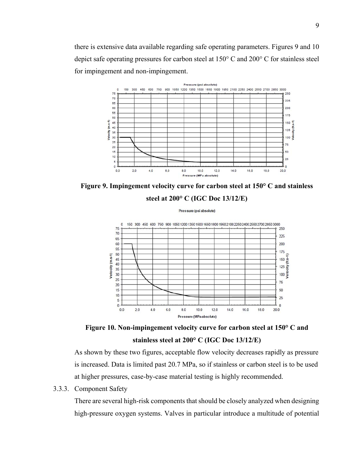there is extensive data available regarding safe operating parameters. Figures 9 and 10 depict safe operating pressures for carbon steel at 150° C and 200° C for stainless steel for impingement and non-impingement.



**Figure 9. Impingement velocity curve for carbon steel at 150° C and stainless** 



Pressure (psi absolute)





As shown by these two figures, acceptable flow velocity decreases rapidly as pressure is increased. Data is limited past 20.7 MPa, so if stainless or carbon steel is to be used at higher pressures, case-by-case material testing is highly recommended.

3.3.3. Component Safety

There are several high-risk components that should be closely analyzed when designing high-pressure oxygen systems. Valves in particular introduce a multitude of potential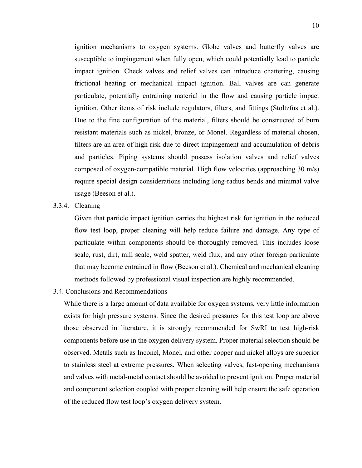ignition mechanisms to oxygen systems. Globe valves and butterfly valves are susceptible to impingement when fully open, which could potentially lead to particle impact ignition. Check valves and relief valves can introduce chattering, causing frictional heating or mechanical impact ignition. Ball valves are can generate particulate, potentially entraining material in the flow and causing particle impact ignition. Other items of risk include regulators, filters, and fittings (Stoltzfus et al.). Due to the fine configuration of the material, filters should be constructed of burn resistant materials such as nickel, bronze, or Monel. Regardless of material chosen, filters are an area of high risk due to direct impingement and accumulation of debris and particles. Piping systems should possess isolation valves and relief valves composed of oxygen-compatible material. High flow velocities (approaching 30 m/s) require special design considerations including long-radius bends and minimal valve usage (Beeson et al.).

# 3.3.4. Cleaning

Given that particle impact ignition carries the highest risk for ignition in the reduced flow test loop, proper cleaning will help reduce failure and damage. Any type of particulate within components should be thoroughly removed. This includes loose scale, rust, dirt, mill scale, weld spatter, weld flux, and any other foreign particulate that may become entrained in flow (Beeson et al.). Chemical and mechanical cleaning methods followed by professional visual inspection are highly recommended.

3.4. Conclusions and Recommendations

While there is a large amount of data available for oxygen systems, very little information exists for high pressure systems. Since the desired pressures for this test loop are above those observed in literature, it is strongly recommended for SwRI to test high-risk components before use in the oxygen delivery system. Proper material selection should be observed. Metals such as Inconel, Monel, and other copper and nickel alloys are superior to stainless steel at extreme pressures. When selecting valves, fast-opening mechanisms and valves with metal-metal contact should be avoided to prevent ignition. Proper material and component selection coupled with proper cleaning will help ensure the safe operation of the reduced flow test loop's oxygen delivery system.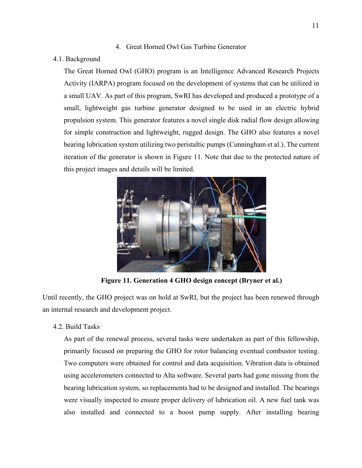# 4. Great Horned Owl Gas Turbine Generator

# 4.1. Background

The Great Horned Owl (GHO) program is an Intelligence Advanced Research Projects Activity (IARPA) program focused on the development of systems that can be utilized in a small UAV. As part of this program, SwRI has developed and produced a prototype of a small, lightweight gas turbine generator designed to be used in an electric hybrid propulsion system. This generator features a novel single disk radial flow design allowing for simple construction and lightweight, rugged design. The GHO also features a novel bearing lubrication system utilizing two peristaltic pumps (Cunningham et al.). The current iteration of the generator is shown in Figure 11. Note that due to the protected nature of this project images and details will be limited.



**Figure 11. Generation 4 GHO design concept (Bryner et al.)** 

Until recently, the GHO project was on hold at SwRI, but the project has been renewed through an internal research and development project.

# 4.2. Build Tasks

As part of the renewal process, several tasks were undertaken as part of this fellowship, primarily focused on preparing the GHO for rotor balancing eventual combustor testing. Two computers were obtained for control and data acquisition. Vibration data is obtained using accelerometers connected to Alta software. Several parts had gone missing from the bearing lubrication system, so replacements had to be designed and installed. The bearings were visually inspected to ensure proper delivery of lubrication oil. A new fuel tank was also installed and connected to a boost pump supply. After installing bearing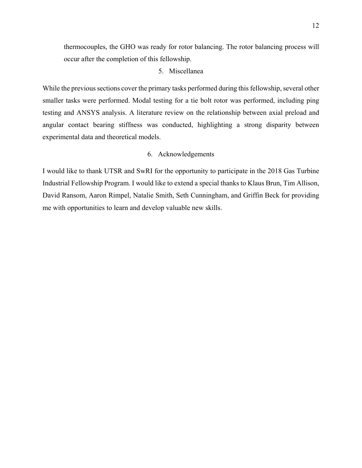thermocouples, the GHO was ready for rotor balancing. The rotor balancing process will occur after the completion of this fellowship.

## 5. Miscellanea

While the previous sections cover the primary tasks performed during this fellowship, several other smaller tasks were performed. Modal testing for a tie bolt rotor was performed, including ping testing and ANSYS analysis. A literature review on the relationship between axial preload and angular contact bearing stiffness was conducted, highlighting a strong disparity between experimental data and theoretical models.

# 6. Acknowledgements

I would like to thank UTSR and SwRI for the opportunity to participate in the 2018 Gas Turbine Industrial Fellowship Program. I would like to extend a special thanks to Klaus Brun, Tim Allison, David Ransom, Aaron Rimpel, Natalie Smith, Seth Cunningham, and Griffin Beck for providing me with opportunities to learn and develop valuable new skills.